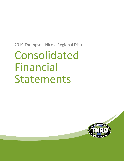# Consolidated Financial Statements

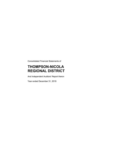Consolidated Financial Statements of

# **THOMPSON-NICOLA REGIONAL DISTRICT**

And Independent Auditors' Report theron

Year ended December 31, 2019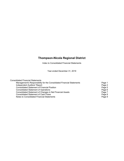Index to Consolidated Financial Statements

Year ended December 31, 2019

| Page 1 |
|--------|
| Page 2 |
| Page 5 |
| Page 6 |
| Page 7 |
| Page 8 |
| Page 9 |
|        |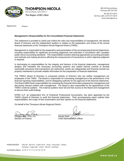

**THOMPSON-NICOLA REGIONAL DISTRICT** The Region of BC's Best

300-465Victoria Street Kamloops, BC V2C 2A9

Tel: 250-377-8673 Toll Free in BC: 1-877-377-8673 Email: admin@tnrd.ca

Department:

Finance

#### **Management's Responsibility for the Consolidated Financial Statements**

This statement is provided to clarify and outline the roles and responsibilities of management, the elected Board of Directors and the independent auditors in relation to the preparation and review of the annual financial statements of the Thompson-Nicola Regional District (TNRD).

Management is responsible for the preparation and presentation of the accompanying financial statements, including responsibility for significant accounting judgments and estimates in accordance with Canadian public sector accounting standards. This responsibility includes selecting appropriate accounting principles and methods and making decisions affecting the measurement of transactions in which objective judgment is required.

In discharging its responsibilities for the integrity and fairness of the financial statements, management designs and maintains the necessary accounting systems and related internal controls to provide reasonable assurance that transactions are authorized, assets are safeguarded and financial records are properly maintained to provide reliable information for the preparation of financial statements.

The TNRD's Board of Directors is composed entirely of Directors who are neither management nor employees of the TNRD. The Board is responsible for overseeing management in the performance of its financial reporting responsibilities, and for delegating authority for the approval of the financial statements. The Board fulfills these responsibilities by reviewing the financial information prepared by management and discussing relevant matters with management. The Board is also responsible for the appointment of the TNRD's external auditors. The external auditors have full and free access to the Board and management to discuss their audit findings.

KPMG LLP, an independent firm of Chartered Professional Accountants, has been appointed by the TNRD's Board of Directors to audit the financial statements. Their accompanying report outlines their responsibilities, the scope of their examination and their opinion on the financial statements.

On behalf of the Thompson-Nicola Regional District:

Douglas Rae, CPA, CA<br>
Director of Finance<br>
Chief Admini

Chief Administrative Officer

MUNICIPALITIES: Ashcroft | Barriere | Cache Creek | Chase | Clearwater | Clinton Kamloops | Logan Lake | Lytton | Merritt | Sun Peaks

ELECTORAL AREAS: "A" "B" "E" "I" "J" "L" "M" "N" "O" "P"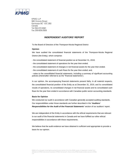

 KPMG LLP 560 Victoria Street Kamloops BC V2C 2B2 Canada Tel 250-372-5581 Fax 250-828-2928

#### **INDEPENDENT AUDITORS' REPORT**

To the Board of Directors of the Thompson-Nicola Regional District

#### **Opinion**

We have audited the consolidated financial statements of the Thompson-Nicola Regional District (the Entity), which comprise:

- the consolidated statement of financial position as at December 31, 2019;
- the consolidated statement of operations for the year then ended;
- the consolidated statement of changes in net financial assets for the year then ended;
- the consolidated statement of cash flows for the year then ended; and,

- notes to the consolidated financial statements, including a summary of significant accounting policies (Hereinafter referred to as the "financial statements").

In our opinion, the accompanying financial statements present fairly, in all material respects, the consolidated financial position of the Entity as at December 31, 2019, and its consolidated results of operations, its consolidated changes in net financial assets and its consolidated cash flows for the year then ended in accordance with Canadian public sector accounting standards.

#### **Basis for Opinion**

We conducted our audit in accordance with Canadian generally accepted auditing standards. Our responsibilities under those standards are further described in the "*Auditors' Responsibilities for the Audit of the Financial Statements*" section of our auditors' report.

We are independent of the Entity in accordance with the ethical requirements that are relevant to our audit of the financial statements in Canada and we have fulfilled our other ethical responsibilities in accordance with these requirements.

We believe that the audit evidence we have obtained is sufficient and appropriate to provide a basis for our opinion.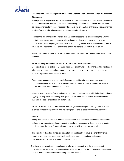

## **Responsibilities of Management and Those Charged with Governance for the Financial Statements**

Management is responsible for the preparation and fair presentation of the financial statements in accordance with Canadian public sector accounting standards and for such internal control as management determines is necessary to enable the preparation of financial statements that are free from material misstatement, whether due to fraud or error.

In preparing the financial statements, management is responsible for assessing the Entity's ability to continue as a going concern, disclosing as applicable, matters related to going concern and using the going concern basis of accounting unless management either intends to liquidate the Entity or to cease operations, or has no realistic alternative but to do so.

Those charged with governance are responsible for overseeing the Entity's financial reporting process.

#### **Auditors' Responsibilities for the Audit of the Financial Statements**

Our objectives are to obtain reasonable assurance about whether the financial statements as a whole are free from material misstatement, whether due to fraud or error, and to issue an auditors' report that includes our opinion.

Reasonable assurance is a high level of assurance, but is not a guarantee that an audit conducted in accordance with Canadian generally accepted auditing standards will always detect a material misstatement when it exists.

Misstatements can arise from fraud or error and are considered material if, individually or in the aggregate, they could reasonably be expected to influence the economic decisions of users taken on the basis of the financial statements.

As part of an audit in accordance with Canadian generally accepted auditing standards, we exercise professional judgment and maintain professional skepticism throughout the audit.

#### We also:

Identify and assess the risks of material misstatement of the financial statements, whether due to fraud or error, design and perform audit procedures responsive to those risks, and obtain audit evidence that is sufficient and appropriate to provide a basis for our opinion.

The risk of not detecting a material misstatement resulting from fraud is higher than for one resulting from error, as fraud may involve collusion, forgery, intentional omissions, misrepresentations, or the override of internal control.

- Obtain an understanding of internal control relevant to the audit in order to design audit procedures that are appropriate in the circumstances, but not for the purpose of expressing an opinion on the effectiveness of the Entity's internal control.

2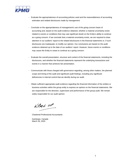

- Evaluate the appropriateness of accounting policies used and the reasonableness of accounting estimates and related disclosures made by management.
- Conclude on the appropriateness of management's use of the going concern basis of accounting and, based on the audit evidence obtained, whether a material uncertainty exists related to events or conditions that may cast significant doubt on the Entity's ability to continue as a going concern. If we conclude that a material uncertainty exists, we are required to draw attention in our auditors' report to the related disclosures in the financial statements or, if such disclosures are inadequate, to modify our opinion. Our conclusions are based on the audit evidence obtained up to the date of our auditors' report. However, future events or conditions may cause the Entity to cease to continue as a going concern.
- Evaluate the overall presentation, structure and content of the financial statements, including the disclosures, and whether the financial statements represent the underlying transactions and events in a manner that achieves fair presentation.
- Communicate with those charged with governance regarding, among other matters, the planned scope and timing of the audit and significant audit findings, including any significant deficiencies in internal control that we identify during our audit.
- Obtain sufficient appropriate audit evidence regarding the financial information of the entities or business activities within the group entity to express an opinion on the financial statements. We are responsible for the direction, supervision and performance of the group audit. We remain solely responsible for our audit opinion.

 $kPMC$  11P

Chartered Professional Accountants

Kamloops, Canada March 26, 2020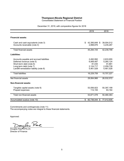Consolidated Statement of Financial Position

| December 31, 2019, with comparative figures for 2018 |  |  |  |  |
|------------------------------------------------------|--|--|--|--|
|                                                      |  |  |  |  |

|                                                                                                                                                                         | 2019                                                       | 2018                                                       |
|-------------------------------------------------------------------------------------------------------------------------------------------------------------------------|------------------------------------------------------------|------------------------------------------------------------|
|                                                                                                                                                                         |                                                            |                                                            |
| <b>Financial assets:</b>                                                                                                                                                |                                                            |                                                            |
| Cash and cash equivalents (note 3)<br>Accounts receivable (note 4)                                                                                                      | \$<br>42,395,849 \$<br>2,898,876                           | 39,004,512<br>3,235,287                                    |
| <b>Total financial assets</b>                                                                                                                                           | 45,294,725                                                 | 42,239,799                                                 |
| Liabilities:                                                                                                                                                            |                                                            |                                                            |
| Accounts payable and accrued liabilities<br>Deferred revenue (note 5)<br>Short-term debt (note 6)<br>Long-term debt (note 7)<br>Landfill remediation liability (note 8) | 2,492,992<br>6,069,487<br>81,035<br>2,124,717<br>5,461,528 | 2,633,955<br>5,260,124<br>91,881<br>2,259,739<br>5,461,528 |
| <b>Total liabilities</b>                                                                                                                                                | 16,229,759                                                 | 15,707,227                                                 |
| Net financial assets                                                                                                                                                    | 29,064,966                                                 | 26,532,572                                                 |
| <b>Non-financial assets:</b>                                                                                                                                            |                                                            |                                                            |
| Tangible capital assets (note 9)<br>Prepaid expenses                                                                                                                    | 53,556,923<br>114,155                                      | 50,397,199<br>83,164                                       |
| Total non-financial assets                                                                                                                                              | 53,671,078                                                 | 50,480,363                                                 |
| Accumulated surplus (note 10)                                                                                                                                           | 82,736,044 \$<br>\$                                        | 77,012,935                                                 |

Commitments and contingencies (note 11) The accompanying notes are integral to these financial statements.

Approved:

 $Dom<sub>1</sub>ms<sub>1</sub>$ 

Douglas Rae, CPA,CA Director of Finance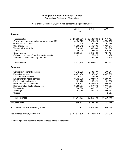Consolidated Statement of Operations

|                                                 | <b>Budget</b> | 2019             | 2018       |
|-------------------------------------------------|---------------|------------------|------------|
|                                                 | (note 15)     |                  |            |
| Revenue:                                        |               |                  |            |
| \$<br>Tax requisition                           | 23,583,301 \$ | 23,588,034 \$    | 24,146,467 |
| Government transfers and other grants (note 12) | 8,136,629     | 3,021,624        | 3,656,253  |
| Grants in lieu of taxes                         | 111,115       | 160,398          | 167,584    |
| Sale of services                                | 3,208,242     | 3,542,606        | 3,196,547  |
| Water and sewer tolls                           | 918,149       | 968,560          | 942,936    |
| Interest                                        | 100,000       | 858,660          | 629,752    |
| Other revenue                                   | 2,320,294     | 3,819,184        | 1,121,164  |
| Gain (loss) on sale of tangible capital assets  |               | (6, 311)         | 2,490      |
| Actuarial adjustment of long-term debt          |               | 29,892           | 28,378     |
| Total revenue                                   | 38,377,730    | 35,982,647       | 33,891,571 |
| <b>Expenses:</b>                                |               |                  |            |
| General government services                     | 5,742,273     | 6,133,197        | 5,219,514  |
| Protective services                             | 4,451,484     | 3,192,082        | 4,487,962  |
| <b>Transportation services</b>                  | 126,111       | 118,453          | 121,497    |
| Environmental health services                   | 9,762,079     | 8,934,947        | 9,580,414  |
| Public health and welfare                       | 121,476       | 166,921          | 102,990    |
| Environmental development                       | 2,610,871     | 1,825,973        | 1,660,742  |
| Recreational and cultural services              | 9,353,057     | 8,817,678        | 8,116,987  |
| Waterworks                                      | 1,088,696     | 833,177          | 820,362    |
| Sewerage                                        | 261,080       | 237,110          | 666,591    |
| <b>Utilities</b>                                |               |                  | 2,057      |
| <b>Total expenses</b>                           | 33,517,127    | 30,259,538       | 30,779,116 |
| Annual surplus                                  | 4,860,603     | 5,723,109        | 3,112,455  |
| Accumulated surplus, beginning of year          | 77,012,935    | 77,012,935       | 73,900,480 |
| \$<br>Accumulated surplus, end of year          | 81,873,538 \$ | 82,736,044<br>\$ | 77,012,935 |

## Year ended December 31, 2019, with comparative figures for 2018

The accompanying notes are integral to these financial statements.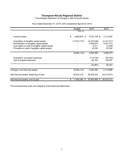Consolidated Statement of Changes in Net Financial Assets

|                                                                                                                                                                                    | <b>Budget</b>           | 2019                                          | 2018                                            |
|------------------------------------------------------------------------------------------------------------------------------------------------------------------------------------|-------------------------|-----------------------------------------------|-------------------------------------------------|
|                                                                                                                                                                                    | (note 15)               |                                               |                                                 |
| Annual surplus                                                                                                                                                                     | \$<br>4,860,603 \$      | 5,723,109 \$                                  | 3,112,455                                       |
| Acquisition of tangible capital assets<br>Amortization on tangible capital assets<br>Loss (gain) on sale of tangible capital assets<br>Proceeds on sale of tangible capital assets | (13, 912, 715)          | (6, 575, 235)<br>3,394,670<br>6,311<br>14,530 | (4, 121, 517)<br>3,021,773<br>(2,490)<br>52,354 |
|                                                                                                                                                                                    | (9,052,112)             | 2,563,385                                     | 2,062,575                                       |
| Acquisition of prepaid expenses<br>Use of prepaid expenses                                                                                                                         |                         | (114, 155)<br>83,164                          | (83, 164)<br>139,487                            |
|                                                                                                                                                                                    |                         | (30, 991)                                     | 56,323                                          |
| Change in net financial assets                                                                                                                                                     | (9,052,112)             | 2,532,394                                     | 2,118,898                                       |
| Net financial assets, beginning of year                                                                                                                                            | 26,532,572              | 26,532,572                                    | 24,413,674                                      |
| Net financial assets, end of year                                                                                                                                                  | \$<br>17,480,460<br>\$. | 29,064,966<br>\$                              | 26,532,572                                      |

Year ended December 31, 2019, with comparative figures for 2018

The accompanying notes are integral to these financial statements.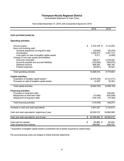Consolidated Statement of Cash Flows

## Year ended December 31, 2019, with comparative figures for 2018

|                                                | 2019                   | 2018          |
|------------------------------------------------|------------------------|---------------|
|                                                |                        |               |
| Cash provided (used) by:                       |                        |               |
| <b>Operating activities:</b>                   |                        |               |
| Annual surplus                                 | \$<br>5,723,109 \$     | 3,112,455     |
| Items not involving cash:                      |                        |               |
| Actuarial adjustment of long-term debt         | (29, 892)              | (28, 378)     |
| Amortization                                   | 3,394,670              | 3,021,773     |
| Loss (gain) on sale of tangible capital assets | 6,311                  | (2,490)       |
| Change in non-cash assets and liabilities:     |                        |               |
| Accounts receivable                            | 336,411                | 2,278,525     |
| Accounts payable and accrued liabilities       | (140, 963)             | (509, 570)    |
| Deferred revenue                               | 809,363                | 846,165       |
| Prepaid expenses                               | (30, 991)              | 56,323        |
| Total operating activities                     | 10,068,018             | 8,774,803     |
| <b>Capital activities:</b>                     |                        |               |
| Acquisition of tangible capital assets 1       | (6, 575, 235)          | (4, 121, 517) |
| Proceeds on sale of tangible capital assets    | 14,530                 | 52,354        |
| Total capital activities                       | (6,560,705)            | (4,069,163)   |
| <b>Financing activities:</b>                   |                        |               |
| Proceeds on long-term debt                     |                        | 934,545       |
| Repayment of short-term debt                   | (10, 846)              | (420, 508)    |
| Repayment of long-term debt                    | (105, 130)             | (75, 764)     |
| Total financing activities                     | (115, 976)             | 438,273       |
| Increase in cash and cash equivalents          | 3,391,337              | 5,143,913     |
|                                                |                        |               |
| Cash and cash equivalents, beginning of year   | 39,004,512             | 33,860,599    |
| Cash and cash equivalents, end of year         | \$<br>42,395,849<br>\$ | 39,004,512    |
| Cash paid for interest                         | \$<br>85,898 \$        | 80,506        |
| Cash received from interest                    | 858,660                | 629,752       |
|                                                |                        |               |

<sup>1</sup> Acquisition of tangible capital assets is presented net of assets acquired by capital lease.

The accompanying notes are integral to these financial statements.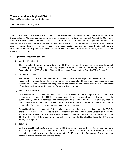Notes to Consolidated Financial Statements

Year ended December 31, 2019

The Thompson-Nicola Regional District ("TNRD") was incorporated November 24, 1967 under provisions of the British Columbia Municipal Act and operates under provisions of the Local Government Act and the Community Charter of British Columbia. Its principal activities are the provision of regional and local government services to residents of the eleven municipalities and ten electoral areas within its boundaries. These include protective services, transportation, environmental health and solid waste management, public health and welfare, development and planning services, public library and other recreational and cultural services, water, sewer and wastewater utilities services

#### **1. Significant accounting policies:**

(a) Basis of presentation:

The consolidated financial statements of the TNRD are prepared by management in accordance with Canadian generally accepted accounting principles for the public sector established by the Public Sector Accounting Board ("PSAB") of the Chartered Professional Accountants of Canada ("CPA Canada").

(b) Basis of accounting:

The TNRD follows the accrual method of accounting for revenue and expenses. Revenues are normally recognized in the period when they are earned, can be measured and there is reasonable assurance that they will be collected. Expenses are recognized as they are incurred and measurable as a result of receipt of goods or services and/or the creation of a legal obligation to pay.

(c) Principles of consolidation:

Consolidated financial statements include the assets, liabilities, revenues, expenses and accumulated surpluses of all funds of the TNRD. In accordance with the principles of consolidation set out for the public sector, inter-fund balances and transactions have been eliminated. In addition, financial transactions of all entities under financial control of the TNRD are included in the consolidated financial statements. These entities include several volunteer fire departments.

Consolidated financial statements further include, on a proportionate consolidation basis, the TNRD's share (75%) of the assets, liabilities, revenues, expenses and net equity of Strata Corporation KAS 2093, a business corporation controlled by the Regional District. Strata Corporation KAS 2093 is owned by the TNRD and the City of Kamloops and manages the activities of the Civic Building located at 465 Victoria Street, Kamloops, BC.

(d) Taxation:

Each municipality and electoral area within the TNRD is requisitioned for their portion of each service in which they participate. These funds are then levied by the municipalities and the Province (for electoral areas) to individual taxpayers and then remitted to the TNRD by August 1 of each year. Tax revenues are recognized in the year in which they are levied.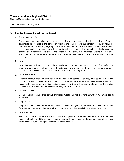Notes to Consolidated Financial Statements

Year ended December 31, 2019

#### **1. Significant accounting policies (continued):**

(e) Government transfers:

Government transfers (other than grants in lieu of taxes) are recognized in the consolidated financial statements as revenues in the periods in which events giving rise to the transfers occur, providing the transfers are authorized, any eligibility criteria have been met, and reasonable estimates of the amounts can be made unless the transfer contains stipulations that create a liability, in which case the transfers are deferred and recognized as revenue in the periods that the liability is extinguished. Grants in lieu of taxes are recognized at the earlier of when received or when determined to be more likely than not to be collected.

(f) Interest:

Interest earned is allocated on the basis of actual earnings from the specific instruments. Excess funds or temporary borrowings of all functions and capital projects are pooled and interest income or expense is allocated to the individual functions and capital projects on a monthly basis.

(g) Deferred revenue:

Deferred revenue includes amounts received from third parties which may only be used in certain programs, in the completion of specific work, or for the purchase of tangible capital assets. Revenue is recognized in the period when the related expenses are incurred, services performed, or the tangible capital assets are acquired, thereby extinguishing the related liability.

(h) Cash equivalents:

Cash equivalents include short-term, highly liquid investments with a term to maturity of 90 days or less at acquisition.

(i) Long-term debt:

Long-term debt is recorded net of accumulated principal repayments and actuarial adjustments to debt. Debt interest charges are charged against current revenue in the periods in which they are accrued.

(j) Landfill liability:

The liability and annual expenditure for closure of operational sites and post closure care has been recognized as the landfill sites' capacities are used each year, based on the present value of estimated future cash flows, after being adjusted for estimated inflation.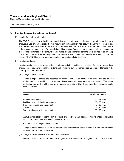Notes to Consolidated Financial Statements

Year ended December 31, 2019

#### **1. Significant accounting policies (continued):**

(k) Liability for contaminated sites:

The TNRD recognizes a liability for remediation of a contaminated site when the site is no longer in productive use or an unexpected event resulting in contamination has occurred and the following criteria are satisfied: contamination exceeds an environmental standard, the TNRD is either directly responsible or has accepted responsibility for remediation, it is expected future economic benefits will be given up and a reasonable estimate of the amount can be made. Future economic benefits are expected to be given up if the TNRD has an external obligation to remediate a site or has commenced remediation on its own accord. The TNRD currently has no recognised contaminated site liabilities.

(l) Non-financial assets:

Non-financial assets are not available to discharge existing liabilities and are held for use in the provision of services. They have useful lives extending beyond the current year and are not intended for sale in the ordinary course of operations.

(i) Tangible capital assets

Tangible capital assets are recorded at historic cost, which includes amounts that are directly attributable to acquisition, construction, development or betterment of the asset. The costs, excluding land and landfill sites, are amortized on a straight-line basis over their estimated useful lives as follows:

| <b>Asset</b>                        | <b>Useful Life - Years</b> |
|-------------------------------------|----------------------------|
| Land improvements                   | 10 - 15 years              |
| Buildings and building improvements | 20 - 70 years              |
| Furniture, fixtures and equipment   | $5 - 20$ years             |
| Vehicles                            | $6 - 20$ years             |
| Water and wastewater infrastructure | 25 - 60 years              |

Annual amortization is prorated in the years of acquisition and disposal. Assets under construction are not amortized until the asset is available for use.

(ii) Contributions of tangible capital assets

Tangible capital assets received as contributions are recorded at the fair value at the date of receipt and also are recorded as revenue.

(iii) Tangible capital assets disclosed at nominal values

Where fair value is undeterminable, tangible capital assets are recognized at a nominal value.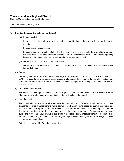Notes to Consolidated Financial Statements

Year ended December 31, 2019

#### **1. Significant accounting policies (continued):**

(iv) Interest capitalization

Interest is capitalized whenever external debt is issued to finance the construction of tangible capital assets.

(v) Leased tangible capital assets

Leases which transfer substantially all of the benefits and risks incidental to ownership of property are accounted for as leased tangible capital assets. All other leases are accounted for as operating leases and the related payments are charged to expenses as incurred.

(vi) Works of art and cultural and historical assets

Works of art and cultural and historical assets are not recorded as assets in these consolidated financial statements.

(m) Budget:

Budget figures shown represent the Annual Budget Bylaw adopted by the Board of Directors on March 28, 2019. In accordance with public sector reporting standards, these figures do not reflect subsequent amendments made by the Board of Directors to reflect changes in the budget throughout the year as required by law.

(n) Employee future benefits:

The costs of multi-employer defined contribution pension plan benefits, such as the Municipal Pension Plan pensions, are the employer's contributions due to the plan in the period.

(o) Use of estimates:

The preparation of the financial statements in conformity with Canadian public sector accounting standards requires management to make estimates and assumptions based on current conditions and laws that affect the reported amounts of assets and liabilities and disclosure of contingent assets and liabilities at the date of the financial statements and the reported amounts of revenues and expenses during the year. The carrying value of the landfill remediation liability, measurement of contaminated site liabilities (if identified) and useful lives of tangible capital assets are significant items subject to such estimates and assumptions.

Actual results could differ from these estimates.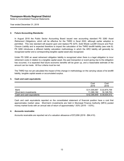Notes to Consolidated Financial Statements

Year ended December 31, 2019

#### **2. Future Accounting Standards:**

In August 2018 the Public Sector Accounting Board issued new accounting standard PS 3280 *Asset Retirement Obligations*, which will be effective for the TNRD in fiscal 2022, although earlier adoption is permitted. This new standard will expand upon and replace PS 3270, *Solid Waste Landfill Closure and Post-Closure Liability* and is expected therefore to impact the calculation of the TNRD landfill liability (see note 8). PS 3280 introduces a different liability calculation methodology in which the ARO liability will generally be recognized earlier and a corresponding tangible capital asset also recognized.

Under PS 3280 an asset retirement obligation liability is recognized when there is a legal obligation to incur retirement costs in relation to a tangible capital asset, the past transaction or event giving rise to the obligation has occurred, it is expected that future economic benefits will be given up, and a reasonable estimate of the amount can be made. All four criteria must be met.

The TNRD has not yet calculated the impact of this change in methodology on the carrying values of its landfill liability, tangible capital assets or accumulated surplus.

#### **3. Cash and cash equivalents:**

|                                | Cost<br>2019               | Cost<br>2018               |
|--------------------------------|----------------------------|----------------------------|
| Bank<br>Short-term investments | \$31,005,667<br>11.390.182 | \$22,875,759<br>16,128,753 |
| Cash and cash equivalents      | \$42,395,849               | \$39,004,512               |

Cash and cash equivalents reported on the consolidated statement of financial position have a cost that approximates market value. Short-term investments are held in Municipal Finance Authority (MFA) pooled money market funds with an annual rate of return of approximately 1.83% (2018 - 1.63%).

#### **4. Accounts receivable:**

Accounts receivable are reported net of a valuation allowance of \$72,856 (2018 - \$84,410).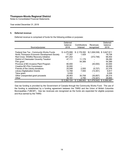Notes to Consolidated Financial Statements

Year ended December 31, 2019

#### **5. Deferred revenue:**

Deferred revenue is comprised of funds for the following entities or purposes:

| Source/purpose:                             | Deferred<br>balance<br>2018 | Contributions<br>/interest | Revenues<br>recognized | Deferred<br>balance<br>2019 |
|---------------------------------------------|-----------------------------|----------------------------|------------------------|-----------------------------|
|                                             |                             |                            |                        |                             |
| Federal Gas Tax - Community Works Funds     | \$4,475,999                 | \$2,178,350                | \$(1,006,538)          | \$5,647,811                 |
| North Thompson Economic Development Society | 77,307                      | 1,429                      |                        | 78,736                      |
| Red Cross - Wildfire Recovery Initiative    | 441,202                     |                            | (372, 748)             | 68,454                      |
| District of Clearwater-Vavenby Taxation     | 47,111                      | 11,179                     |                        | 58,290                      |
| Film grant                                  |                             | 54,389                     |                        | 54,389                      |
| Province of BC-Invasive Plant Program       | 80,000                      |                            | (40,000)               | 40,000                      |
| Creative BC-Film Commission                 | 30,000                      |                            |                        | 30,000                      |
| Friends of the Library donations            | 25,548                      | 2,555                      | (5, 727)               | 22,376                      |
| <b>Library Digitalization Grants</b>        | 12,768                      | 7,500                      | (13, 351)              | 6,917                       |
| Telus grant                                 | 5,535                       |                            |                        | 5,535                       |
| Other unexpended grant proceeds             | 28,463                      | 30,708                     | (30, 857)              | 28,314                      |
| Other                                       | 36,191                      | 2,795                      | (10,321)               | 28,665                      |
|                                             | \$5,260,124                 | \$2,288,905                | \$(1,479,542)          | 6,069,487<br>\$             |

Gas tax funding is provided by the Government of Canada through the Community Works Fund. The use of the funding is established by a funding agreement between the TNRD and the Union of British Columbia Municipalities ("UBCM"). Gas tax revenues are recognized as the funds are expended for eligible purposes and thus earned by the TNRD.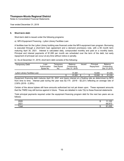Notes to Consolidated Financial Statements

Year ended December 31, 2019

#### **6. Short-term debt:**

Short-term debt is issued under the following programs:

a) MFA Equipment Financing - Lytton Library Facilities Loan

A facilities loan for the Lytton Library building was financed under the MFA equipment loan program. Borrowing is executed through a short-term loan agreement and a demand promissory note, with a 60 month term maturing April 30, 2021. Interest is calculated daily, compounded monthly and paid on a monthly basis. Principal and interest payments of \$1,085 per month are scheduled over the term of the debt, but early repayment of principal can occur at any time without notice or penalty.

b) As at December 31, 2019, short-term debt consists of the following:

| <b>Temporary Debt</b>          | Loan<br>Authorization<br>Bylaw No. | Femporarv<br>Debt Bylaw<br>No. | <b>Balance</b><br>Outstanding<br>Dec 31, 2018 | Principal<br>Issued<br>Repayment |    | Balance<br>Outstanding<br>Dec 31,2019 |  |        |
|--------------------------------|------------------------------------|--------------------------------|-----------------------------------------------|----------------------------------|----|---------------------------------------|--|--------|
| Lytton Library Facilities Loan |                                    |                                | 91.881                                        | $\overline{\phantom{a}}$         |    | 10.846                                |  | 81,035 |
|                                |                                    |                                | 91.881                                        | \$<br>$\blacksquare$             | \$ | 10,846                                |  | 81,035 |

Equipment financing debt matures April 30, 2021 and bears interest at a floating rate as determined by MFA from time to time. Interest paid during the year was \$2,175 (2018 - \$2,221) reflecting an average rate of 2.50% (2018 - 2.28%).

Certain of the above bylaws still have amounts authorized but not yet drawn upon. These represent amounts that the TNRD may still borrow against in future. These are detailed in note 7(b) to these financial statements

Total principal payments required under the equipment financing program debt for the next two years are as follows:

| 2020<br>2021 | w | 10 <sup>o</sup><br>$\overline{ }$<br>$L_{\rm L}$<br>69,913 |
|--------------|---|------------------------------------------------------------|
| Total        | w | $^{\circ}$<br>$\sim$<br>'ບບ<br>ັັ                          |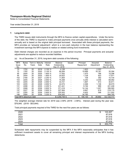Notes to Consolidated Financial Statements

Year ended December 31, 2019

#### **7. Long-term debt:**

The TNRD issues debt instruments through the MFA to finance certain capital expenditures. Under the terms of the debt, the TNRD is required to make principal payments once annually while interest is calculated semiannually and is based on the original debt principal borrowed. Associated with these principal payments, the MFA provides an 'actuarial adjustment', which is a non-cash reduction in the loan balance representing the investment earnings the MFA expects to realize on related sinking fund investments.

Debt interest charges are recorded as an expense in the period incurred. Principal payments and actuarial adjustments are applied to reduce recorded liabilities.

| <b>MFA</b> | <b>Bylaw</b> | Term in                  | Maturity | Interest | <b>Balance</b>  | Issued | Principal     |     | Actuarial  | <b>Balance</b> |
|------------|--------------|--------------------------|----------|----------|-----------------|--------|---------------|-----|------------|----------------|
| Issue      | No.          | Years                    | Date     | Rate     | Outstanding     |        | Repayment     |     | Adjustment | Outstanding    |
| No.        |              |                          |          |          | Dec 31, 2018    |        |               |     |            | Dec 31, 2019   |
| 70         | 1702         | 20                       | 2019     | 2.100 %  | 4,126           |        | 1,823         |     | 2,303      |                |
| 72         | 1762         | 20                       | 2020     | 2.100 %  | 69.264          |        | 15,689        |     | 18,181     | 35,394         |
| 95         | 2054         | 20                       | 2025     | 1.800 %  | 17,552          |        | 1,470         |     | 786        | 15,296         |
| 95         | 2054         | 20                       | 2025     | 1.800 %  | 20,622          |        | 1,728         |     | 923        | 17,971         |
| 102        | 2180         | 20                       | 2027     | 2.250 %  | 11.854          |        |               | 728 | 392        | 10,734         |
| 103        | 2205         | 20                       | 2028     | 2.650 %  | 75,358          |        | 4.240         |     | 2.036      | 69,082         |
| 103        | 2205         | 20                       | 2028     | 2.650 %  | 33.721          |        | 1.897         |     | 913        | 30.911         |
| 103        | 2205         | 20                       | 2028     | 2.650 %  | 42.074          |        | 2,368         |     | 1,136      | 38.570         |
| 131        | 2498         | 20                       | 2035     | 2.200 %  | 231.441         |        | 9.194         |     | 999        | 221,248        |
| 137        | 2088         | 20                       | 2036     | 2.600 %  | 371,216         |        | 14,144        |     | 1.007      | 356,065        |
| 137        | 2227         | 20                       | 2036     | 2.600 %  | 227.464         |        | 8,667         |     | 618        | 218,179        |
| 137        | 2350         | 20                       | 2036     | 2.600 %  | 220.502         |        | 8,402         |     | 598        | 211,502        |
| 146        | 2084         | 20                       | 2036     | 3.200 %  | 934,545         |        | 34,780        |     |            | 899,765        |
|            |              | Total MFA debenture debt |          |          | $$2,259,739$ \$ |        | \$<br>105,130 | \$  | 29,892     | \$2,124,717    |

(a) As at December 31, 2019, long-term debt consists of the following:

The weighted average interest rate for 2019 was 2.59% (2018 - 2.56%). Interest paid during the year was \$76,840. (2018 - \$53,844)

Total principal payments required of the TNRD for the next five years are as follows:

| 2020  | \$ | 103,307 |
|-------|----|---------|
| 2021  |    | 87,618  |
| 2022  |    | 87,618  |
| 2023  |    | 87,618  |
| 2024  |    | 87,618  |
| Total | ъĐ | 453,779 |

Scheduled debt repayments may be suspended by the MFA if the MFA reasonably anticipates that it has sufficient investment assets to cover all remaining principal and interest requirements of the MFA funding debentures.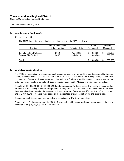Notes to Consolidated Financial Statements

Year ended December 31, 2019

#### **7. Long-term debt (continued):**

#### (b) Unissued debt:

The TNRD has authorized but unissued debentures with the MFA as follows:

| Service                                                     | Loan Authorization.<br><b>Bylaw Number</b> | <b>Adoption Date</b>           | Amount<br>Authorized      | Amount<br>Unissued   |
|-------------------------------------------------------------|--------------------------------------------|--------------------------------|---------------------------|----------------------|
| Loon Lake Fire Protection<br><b>Tobiano Fire Protection</b> | 2652<br>2657                               | April 2018<br><b>July 2018</b> | 653,000<br>S<br>1,000,000 | 653,000<br>1.000.000 |
| Total                                                       |                                            |                                | .653.000                  | 1,653,000            |

#### **8. Landfill remediation liability:**

The TNRD is responsible for closure and post-closure care costs of five landfill sites: Clearwater, Barriere and Chase, which were closed and ceased operations in 2012, and Lower Nicola and Heffley Creek, which remain in operation. Closure and post-closure activities include a final cover and landscaping, surface and ground water monitoring, leachate control and visual inspection as defined by Ministry of Environment regulations.

A liability of \$5,461,528 (2018 - \$5,461,528) has been recorded for these costs. The liability is recognized as the landfill site's capacity is used and represents management's best estimate of the discounted future cash flows associated with meeting these responsibilities, using an inflation rate of 2% (2018 – 2%) and discount rate of 2.81% (2018 – 3%), pro-rated based on the percentage of total capacity at the site used to date.

Closure and post-closure care requirements are established by Provincial regulation.

Present value of future cash flows for 100% of expected landfill closure and post-closure care costs is now estimated to be \$15,013,693 (2018 - \$14,280,559).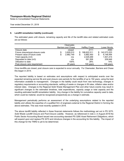Notes to Consolidated Financial Statements

Year ended December 31, 2019

#### **8. Landfill remediation liability (continued):**

The estimated years until closure, remaining capacity and life of the landfill sites and related estimated costs are as follows:

|                                   |    | Clearwater,               |   |                      |                   |
|-----------------------------------|----|---------------------------|---|----------------------|-------------------|
|                                   |    | <b>Barriere and Chase</b> |   | <b>Heffley Creek</b> | Lower Nicola      |
| Closure date                      |    | closed                    |   | 2111                 | 2093              |
| Future closure/post-closure costs | \$ | 3.929.510                 | S | 198,622,511          | \$<br>142,073,223 |
| Present value of future costs     | S. | 2,982,749                 |   | 5,882,450            | \$<br>6,148,494   |
| Total capacity (m3)               |    | n/a                       |   | 2,029,269            | 1,501,415         |
| Deposited to date (m3)            |    | n/a                       |   | 561.506              | 209,949           |
| Utilization to date               |    | 100%                      |   | 28%                  | 14%               |
| Post-closure care requirement     |    | 25 years                  |   | 100 years            | 100 years         |

Once landfills are closed, post closure care is expected to occur annually. For Clearwater, Barriere and Chase this began in 2014.

The reported liability is based on estimates and assumptions with respect to anticipated events over the expected remaining service life and post-closure care periods for the landfills of up to 192 years, using the best information available to management. Changes in the liability could result from new technology, changes in regulatory requirements or accounting standards, settling of waste or changes in fill rates, inflation rates and/or interest rates. Changes to the Regional Solid Waste Management Plan and other future events may result in significant changes to the estimated timelines, total expenditures, capacity usage or total capacity and the resulting estimated landfill remediation liability. Any change in the liability for cumulative capacity used to date, which could be material, would be recognized prospectively as a change in estimate.

Management periodically performs an assessment of the underlying assumptions related to the reported liability and utilizes the expertise of a qualified firm of engineers external to the Regional District in forming the above estimates. This was most recently updated in 2019.

The above landfill liability reflected in these financial statements follows the methodology set out in PS 3270, *Solid Waste Landfill Closure and Post-Closure Liability*. However, as referenced in note 2, in August 2018 the Public Sector Accounting Board issued new accounting standard PS 3280 *Asset Retirement Obligations*, which will expand upon and replace PS 3270 and introduce changes in the accounting for this liability. The impact of this change for the TNRD is yet to be determined.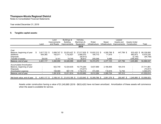Notes to Consolidated Financial Statements

Year ended December 31, 2019

## **9. Tangible capital assets:**

| Total      |
|------------|
|            |
|            |
|            |
|            |
|            |
| 88,109,060 |
| 6,575,235  |
| (94, 758)  |
|            |
| 94,589,537 |
|            |
| 37,711,861 |
| (73, 917)  |
| 3,394,670  |
| 41,032,614 |
| 53,556,923 |
|            |

Assets under construction having a value of \$1,245,885 (2018 - \$633,420) have not been amortized. Amortization of these assets will commence when the asset is available for service.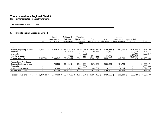Notes to Consolidated Financial Statements

Year ended December 31, 2019

## **9. Tangible capital assets (continued):**

|                                 |   |              | Land         | Buildings &         | Vehicles,     |                     |                | ∟eased       |                 |            |
|---------------------------------|---|--------------|--------------|---------------------|---------------|---------------------|----------------|--------------|-----------------|------------|
|                                 |   |              | Improvements | <b>Building</b>     | Machinery &   | Water               | Sewer          | Assets and   | Assets Under    |            |
|                                 |   | Land         | and Roads    | <i>Improvements</i> | Equipment     | Infrastructure      | Infrastructure | Improvements | Construction    | Total      |
|                                 |   |              |              |                     | 2018          |                     |                |              |                 |            |
| Cost                            |   |              |              |                     |               |                     |                |              |                 |            |
| Balance, beginning of year      | S | 3,817,722 \$ | 3.089.747 \$ | 31,212,215 \$       | 24,794,038 \$ | 13,895,852 \$       | 4,190,833 \$   | 447,799 \$   | 2,898,584<br>\$ | 84,346,790 |
| Additions                       |   |              |              | 1,493,175           | 2,112,123     | 90,471              | 33,189         |              | 392,559         | 4,121,517  |
| <b>Disposals</b>                |   |              |              |                     | (319, 383)    |                     |                |              | (39, 864)       | (359, 247) |
| Transfer of assets              |   |              |              | 169,037             | 431,057       | 1,945,989           | 71,776         |              | (2,617,859)     |            |
| Balance, end of year            |   | 3,817,722    | 3,089,747    | 32,874,427          | 27,017,835    | 15,932,312          | 4,295,798      | 447,799      | 633,420         | 88,109,060 |
| <b>Accumulated Amortization</b> |   |              |              |                     |               |                     |                |              |                 |            |
| Balance, beginning of year      |   |              | 755,509      | 11,098,474          | 15,651,281    | 5,272,232           | 2,050,251      | 171,724      |                 | 34,999,471 |
| Disposals                       |   |              |              |                     | (309, 383)    |                     |                |              |                 | (309, 383) |
| Amortization expense            |   |              | 167,240      | 926,161             | 1,433,366     | 365,657             | 116,555        | 12,794       |                 | 3,021,773  |
| Balance, end of year            |   |              | 922,749      | 12,024,635          | 16,775,264    | 5,637,889           | 2,166,806      | 184,518      |                 | 37,711,861 |
| Net book value, end of year     |   | 3,817,722 \$ | 2,166,998 \$ | 20,849,792 \$       | 10,242,571    | 10,294,423 \$<br>-S | 2,128,992 \$   | 263,281 \$   | 633,420 \$      | 50,397,199 |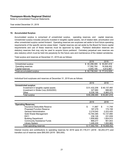Notes to Consolidated Financial Statements

Year ended December 31, 2019

#### **10. Accumulated Surplus:**

Accumulated surplus is comprised of unrestricted surplus, operating reserves, and capital reserves. Unrestricted surplus includes amounts invested in tangible capital assets, net of related debt, amortization and other unrestricted surplus carried forward. Operating reserves are surpluses set aside to fund future operating requirements of the specific service areas listed. Capital reserves are set aside by the Board for future capital requirements and use of these reserves must be approved by bylaw. Parkland dedication reserves are statutory reserves that may only be used to acquire future parkland. Cemetery perpetual care reserves are also statutory which must be held into perpetuity for the future care and maintenance of the related cemeteries.

Total surplus and reserves at December 31, 2019 are as follows:

|                           | 2019          | 2018          |
|---------------------------|---------------|---------------|
| Unrestricted surplus      | \$ 60,298,085 | \$ 55,691,616 |
| Operating reserves        | 17.592.764    | 16.508.452    |
| Capital reserves          | 4.845.195     | 4.812.867     |
| Total accumulated surplus | \$ 82,736,044 | \$77.012.935  |

Individual fund surpluses and reserves at December 31, 2019 are as follows:

|                                       | 2019         | 2018         |
|---------------------------------------|--------------|--------------|
| <b>Unrestricted surplus:</b>          |              |              |
| Investment in tangible capital assets | \$51,432,206 | \$48,137,460 |
| Investment in Strata Corp (KAS2093)   | 327.680      | 688.881      |
| Other                                 | 8,538,199    | 6,865,275    |
| Total surplus                         | \$60,298,085 | \$55,691,616 |

|                                   | 2019         | 2018         |
|-----------------------------------|--------------|--------------|
| <b>Operating Reserves:</b>        |              |              |
| Insurance Deductible Reserve      | \$<br>11.967 | 11,749<br>S  |
| <b>Proposed Function Reserve</b>  | 187,379      | 174,158      |
| <b>General Administration</b>     | 2,219,540    | 2,223,420    |
| Solid Waste Management            | 10,764,385   | 10,137,890   |
| E911                              | 236,126      | 231,839      |
| <b>Building Department</b>        | 1,858,660    | 1,824,910    |
| <b>Community Assistance Funds</b> | 868,277      | 901,603      |
| Library System                    | 1,446,430    | 1,002,883    |
| Total operating reserves          | \$17,592,764 | \$16,508,452 |

Interest income and contributions to operating reserves for 2019 were \$1,179,311 (2018 - \$3,253,377) and transfers out of reserves were \$95,000 (2018 - \$50,000).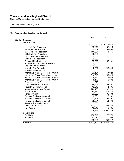Notes to Consolidated Financial Statements

Year ended December 31, 2019

## **10. Accumulated Surplus (continued):**

|                                       | 2019            | 2018            |
|---------------------------------------|-----------------|-----------------|
| <b>Capital Reserves:</b>              |                 |                 |
| General Fund:                         |                 |                 |
| E911                                  | \$<br>1,822,237 | \$<br>1,771,060 |
| <b>Ashcroft Fire Protection</b>       | 58,610          | 57,546          |
| <b>Barriere Fire Protection</b>       | 35,349          | 31,664          |
| <b>Blackpool Fire Protection</b>      | 141,021         | 111,165         |
| Little Fort Fire Protection           | 20,000          |                 |
| Loon Lake Fire Protection             | 10,000          |                 |
| <b>McLure Fire Protection</b>         | 20,000          |                 |
| <b>Pritchard Fire Protection</b>      | 93,826          | 85,291          |
| South Green Lake Fire Protection      | 20,000          |                 |
| <b>Tobiano Fire Protection</b>        | 10,000          |                 |
| Vavenby Fire Protection               | 2,022           | 246,345         |
| <b>Noxious Weed Service</b>           | 7,000           |                 |
| Alternative Waste Collection - Area B | 89,184          | 67,928          |
| Alternative Waste Collection - Area J | 314,319         | 280,629         |
| Alternative Waste Collection - Area N | 9,250           | 9,082           |
| Alternative Waste Collection - Area P | 5,176           | 5,082           |
| Cemetery - Area B                     | 11,379          |                 |
| Community Halls - Area B              | 86,909          | 33,557          |
| <b>Vavenby Community Hall</b>         | 12,213          | 14,705          |
| Nicola Valley Aquatic Centre          | 226,460         | 188,926         |
| Parks - Area A                        | 60,457          | 211,580         |
| Parks - Area B                        | 53,359          | 95,383          |
| Parkland Dedication - Area E          | 16,501          | 16,201          |
| Parkland Dedication - Area M          | 93,505          | 91,807          |
| Parkland Dedication - Area P          | 55,581          | 54,572          |
| <b>Reserve: Recreation M&amp;N</b>    | 5,000           |                 |
| <b>TNRD Library Service</b>           | 617,042         | 605,838         |
| TV - Area B                           | 10,316          | 2,065           |
|                                       | 3,906,716       | 3,980,426       |
| Sewer Fund:                           |                 |                 |
| Paul Lake                             | 182,210         | 178,778         |
| Pritchard                             | 83,675          | 77,969          |
|                                       | 265,885         | 256,747         |
| <b>Subtotal</b>                       | \$4,172,601     | \$4,237,173     |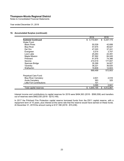Notes to Consolidated Financial Statements

Year ended December 31, 2019

#### **10. Accumulated Surplus (continued):**

|                                  | 2019            | 2018            |
|----------------------------------|-----------------|-----------------|
| <b>Subtotal Continued</b>        | \$<br>4,172,601 | \$<br>4,237,173 |
| Water Fund:                      |                 |                 |
| <b>Black Pines</b>               | 50,539          | 42,699          |
| <b>Blue River</b>                | 57,675          | 46,627          |
| Del Oro                          | 47,020          | 37,241          |
| Evergreen                        | 5,514           | 3,707           |
| Loon Lake                        | 25,263          | 22,491          |
| Maple Mission                    | 87,562          | 84,045          |
| Pritchard                        | 91,978          | 74,386          |
| Savona                           | 210,519         | 177,607         |
| Spences Bridge                   | 35,399          | 34,827          |
| Vavenby                          | 38,221          | 36,620          |
| Walhachin                        | 19,809          | 12,603          |
|                                  | 669,499         | 572,853         |
| Perpetual Care Fund:             |                 |                 |
| <b>Blue River Cemetery</b>       | 2,631           | 2,516           |
| Avola Cemetery                   | 363             | 325             |
| <b>Little Fort Contributions</b> | 101             |                 |
|                                  | 3,095           | 2,841           |
| Total capital reserves           | 4,845,195<br>\$ | 4,812,867<br>\$ |

Interest income and contributions to capital reserves for 2019 were \$494,363 (2018 - \$590,558) and transfers out of reserves were \$462,035 (2018 - \$210,149).

In 2017 the Pritchard Fire Protection capital reserve borrowed funds from the E911 capital reserve, with a repayment term of 10 years, plus interest at the same rate that the reserve would have earned on these funds. At December 31, 2019 the amount owing is \$ 57,188 (2018 - \$74,238).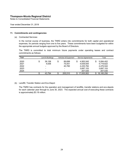Notes to Consolidated Financial Statements

Year ended December 31, 2019

#### **11. Commitments and contingencies:**

(a) Contracted Services:

In the normal course of business, the TNRD enters into commitments for both capital and operational expenses, for periods ranging from one to five years. These commitments have been budgeted for within the appropriate annual budgets approved by the Board of Directors.

The TNRD is committed to total minimum future payments under operating leases and contract commitments as follows:

| Year | Land & Buildings         | Vehicles & Equipment | <b>Service Agreements</b> | Total      |
|------|--------------------------|----------------------|---------------------------|------------|
| 2020 | \$<br>39.158             | 89.699               | \$<br>4,955,545           | 5,084,402  |
| 2021 | 4.636                    | 75,051               | 4,639,935                 | 4,719,622  |
| 2022 | $\blacksquare$           | 40.760               | 4,435,784                 | 4,476,544  |
| 2023 | -                        | ۰                    | 3,697,153                 | 3,697,153  |
| 2024 | $\overline{\phantom{a}}$ | ۰                    | 207,535                   | 207,535    |
|      | 43.794                   | 205.510              | 17,935,952                | 18,185,256 |

(b) Landfill, Transfer Station and Eco-Depot:

The TNRD has contracts for the operation and management of landfills, transfer stations and eco-depots for each calendar year through to June 30, 2023. The expected annual cost of executing these contracts is approximately \$3.18 million.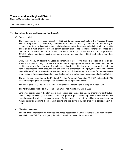Notes to Consolidated Financial Statements

Year ended December 31, 2019

#### **11. Commitments and contingencies (continued):**

(c) Pension Liability:

The Thompson-Nicola Regional District (TNRD) and its employees contribute to the Municipal Pension Plan (a jointly trusteed pension plan). The board of trustees, representing plan members and employers, is responsible for administering the plan, including investment of the assets and administration of benefits. The plan is a multi-employer defined benefit pension plan. Basic pension benefits are based on a formula. As at December 30, 2018, the plan has about 205,000 active members and approximately 101,000 retired members. Active members include approximately 40,000 contributors from local government.

Every three years, an actuarial valuation is performed to assess the financial position of the plan and adequacy of plan funding. The actuary determines an appropriate combined employer and member contribution rate to fund the plan. The actuary's calculated contribution rate is based on the entry-age normal cost method, which produces the long-term rate of member and employer contributions sufficient to provide benefits for average future entrants to the plan. This rate may be adjusted for the amortization of any actuarial funding surplus and will be adjusted for the amortization of any unfunded actuarial liability.

The most recent valuation for the Municipal Pension Plan as at December 31, 2018 indicated a \$2,866 million funding surplus for basic pension benefits on a going concern basis.

The TNRD paid \$699,488 (2018 - \$717,641) for employer contributions to the plan in fiscal 2019.

The next valuation will be as at December 31, 2021, with results available in 2022.

Employers participating in the plan record their pension expense as the amount of employer contributions made during the fiscal year (defined contribution pension plan accounting). This is because the Plan records accrued liabilities and accrued assets for the plan in aggregate, resulting in no consistent and reliable basis for allocating the obligation, assets and cost to the individual employers participating in the plan.

(d) Municipal Insurance:

The TNRD is a member of the Municipal Insurance Association of British Columbia. As a member of this association, the TNRD is contingently liable for claims in excess of the insurance fund.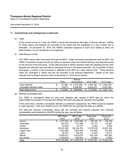Notes to Consolidated Financial Statements

Year ended December 31, 2019

#### **11. Commitments and contingencies (continued):**

(e) Legal:

In the normal course of a year, the TNRD is faced with lawsuits for damages of diverse natures. Liability for these claims and lawsuits are recorded to the extent that the probability of a loss is likely and is estimable. At December 31, 2019, the TNRD's estimated exposure to each such liability is either not determinable or is not considered to be significant.

(f) Debt Reserve Funds:

The TNRD issues debt instruments through the MFA. Under borrowing arrangements with the MFA, the TNRD is required to lodge security by means of demand notes and interest-bearing cash deposits based on the amount of the borrowing. As the debt principal is retired, demand notes are released and the cash deposits are refunded and recorded as operating income in the period received. As a condition of these borrowings, a portion of the proceeds is withheld by the MFA as a debt reserve fund. These demand notes are contingent in nature and are not recorded in the financial statements. Details of the cash deposits and contingent demand notes at December 31, 2019 are as follows:

|                         |    |         | Member         |             |                  |
|-------------------------|----|---------|----------------|-------------|------------------|
|                         |    | TNRD    | Municipalities | 2019 Totals | 2018 Totals      |
| Cash deposits           | S. | 37.396  | \$ 2.318.386   | \$2.355.782 | 2.269.785<br>\$. |
| Contingent demand notes |    | 74.673  | 5.348.597      | 5.423.270   | 5,357,333        |
| Debt reserve fund       |    | 112.069 | 7.666.983      | 7.779.052   | .627.118         |

(g) Member municipality debt:

The TNRD is contingently liable for long term liabilities with respect to MFA debt for which the responsibility for payment of principal and interest has been assumed by member municipalities.

In the event that a member municipality defaults on scheduled repayments, the TNRD would be required to make payment. Until such default occurs, the TNRD has not recorded this debt as a liability.

The debt per member municipality, along with the principal and interest collected from member municipalities and forwarded to the MFA during the year, are as follows:

|                  | <b>MFA Debt</b><br>2019 | <b>MFA Debt</b><br>2018 | Payments<br>2019 | Payments<br>2018 |
|------------------|-------------------------|-------------------------|------------------|------------------|
| Chase            | 1,977,503<br>\$         | 2,054,089<br>S          | 145.150<br>\$    | 145,150<br>\$    |
| Clearwater       | 340,415                 | 411,959                 | 87,171           | 53,847           |
| Clinton          | 22,082                  | 24,770                  | 2.554            | 2,554            |
| Kamloops         | 90,351,359              | 99,744,764              | 11,070,016       | 12,091,164       |
| Logan Lake       | 1,627,826               | 1,867,940               | 272,463          | 272.463          |
| Lytton           | 85,361                  | 104.222                 | 17.623           | 16,273           |
| Merritt          | 6,055,617               | 6,478,574               | 607,304          | 627,004          |
| <b>Sun Peaks</b> | 4,334,645               | 950,000                 | 65,280           | 14,963           |
| Total            | \$104,794,808           | \$111,636,318           | 12,267,561<br>S. | 13,223,418<br>\$ |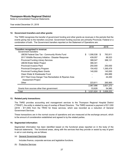Notes to Consolidated Financial Statements

Year ended December 31, 2019

#### **12. Government transfers and other grants:**

The TNRD recognizes the transfer of government funding and other grants as revenues in the periods that the events giving rise to the transfers occurred. Government funding sources are primarily Provincial, Federal or a combination of both. The Government transfers reported on the Statement of Operations are:

|                                                        | 2019            |    | 2018      |
|--------------------------------------------------------|-----------------|----|-----------|
| Transfers recognized in revenue:                       |                 |    |           |
| Government transfers:                                  |                 |    |           |
| <b>UBCM Federal Gas Tax - Community Works Fund</b>     | \$<br>1,006,538 | -S | 763,911   |
| 2017 Wildlife Recovery Initiative - Disaster Response  | 439,057         |    | 88,523    |
| <b>Provincial Funding Library Services</b>             | 388,047         |    | 388,121   |
| <b>UBCM-Water Meter Project</b>                        | 366,341         |    |           |
| <b>Provincial Invasive Plant</b>                       | 250,000         |    | 250,000   |
| <b>Provincial Emergency Program</b>                    | 154,402         |    | 1,395,479 |
| <b>Provincial Funding Basic Grants</b>                 | 140,000         |    | 140,000   |
| Clean Water & Wastewater Fund                          |                 |    | 264,889   |
| 2017 Red Cross Danger Tree Remediation & Riparian Area |                 |    | 44,450    |
| <b>Assessment Project</b>                              |                 |    |           |
| Other                                                  | 223,611         |    | 265,900   |
|                                                        | 2,967,996       |    | 3,601,273 |
| Grants from sources other than government              | 53,628          |    | 54,980    |
| Total                                                  | \$<br>3,021,624 | S. | 3,656,253 |

#### **13. Related party transactions:**

The TNRD provides accounting and management services to the Thompson Regional Hospital District ("TRHD"), the entity is related by way of overlap of Board Directors. The TNRD received a payment of \$11,000 (2018 - \$11,000) from the TRHD for these services, which was recorded as a reduction of General Government Services.

These transactions are in the normal course of operations and are measured at the exchange amount, which is the amount of consideration established and agreed to by the related parties.

#### **14. Segmented information:**

Segmented information has been identified based on the functional areas reported on in the body of the financial statements. The functional areas, along with the services that they provide or assist by way of grant in aid or cost sharing, are as follows:

#### (a) General Government Services

Includes finance, corporate services and legislative functions

#### (b) Protective Services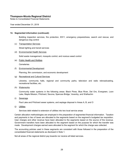Notes to Consolidated Financial Statements

Year ended December 31, 2019

#### **14. Segmented information (continued):**

Building inspection services, fire protection, E911, emergency preparedness, search and rescue, and dangerous dog control

(c) Transportation Services

Street lighting and transit services

(d) Environmental Health Services

Solid waste management, mosquito control, and noxious weed control

(e) Public Health and Welfare

**Cemeteries** 

(f) Environmental Development

Planning, film commission, and economic development

(g) Recreational and Cultural Services

Libraries, community halls, regional and community parks, television and radio rebroadcasting, recreational facilities, etc.

(h) Waterworks

Community water systems in the following areas: Black Pines, Blue River, Del Oro, Evergreen, Loon Lake, Maple Mission, Pritchard, Savona, Spences Bridge, Vavenby, and Walhachin

(i) Sewerage

Paul Lake and Pritchard sewer systems, and septage disposal in Areas A, B, and O

(j) Utilities

Services debt related to extension of utilities into two local service areas

Certain allocation methodologies are employed in the preparation of segmented financial information. Taxation and payments in lieu of taxes are allocated to the segments based on the segment's budgeted tax requisition. User charges and other revenue have been allocated to the segments based on the source of the revenue. Government transfers have been allocated to the segment based on the purpose for which the transfer was made. Development charges earned were allocated to the segment for which the charge was collected.

The accounting policies used in these segments are consistent with those followed in the preparation of the consolidated financial statements as disclosed in Note 1.

Not all areas of the regional district pay towards nor receive all listed services.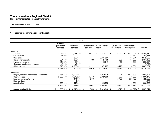Notes to Consolidated Financial Statements

Year ended December 31, 2019

| 2019                                      |    |                                   |                        |           |                            |         |                                  |            |                              |         |                              |           |      |            |
|-------------------------------------------|----|-----------------------------------|------------------------|-----------|----------------------------|---------|----------------------------------|------------|------------------------------|---------|------------------------------|-----------|------|------------|
|                                           |    | General<br>government<br>services | Protective<br>services |           | Transportation<br>services |         | Environmental<br>health services |            | Public health<br>and welfare |         | Environmental<br>development |           |      | Subtotal   |
| Revenue                                   |    |                                   |                        |           |                            |         |                                  |            |                              |         |                              |           |      |            |
| Taxation                                  |    | 2,944,633                         | \$.                    | 2,935,779 | - \$                       | 125,477 | \$.                              | 7,513,223  | \$                           | 105,710 | - \$                         | 1,534,028 |      | 15,158,850 |
| Grants in lieu                            |    | 45,028                            |                        |           |                            |         |                                  |            |                              |         |                              | 17,419    |      | 62,447     |
| User charges                              |    |                                   |                        | 802,371   |                            |         |                                  | 2,681,261  |                              |         |                              | 58,974    |      | 3,542,606  |
| Government transfer                       |    | 1,064,783                         |                        | 308,811   |                            | 199     |                                  | 524,435    |                              | 75,000  |                              | 157,930   |      | 2,131,158  |
| Investment income                         |    | 618,278                           |                        | 53,705    |                            |         |                                  | 155,617    |                              | 1,458   |                              | 4,569     |      | 833,627    |
| Gain/loss on disposal of Assets           |    | (3, 128)                          |                        | (4,667)   |                            |         |                                  |            |                              |         |                              |           |      | (7, 795)   |
| Other revenue                             |    | 210,079                           |                        | 3,009,551 |                            |         |                                  | 371,257    |                              | 8,726   |                              | 8,081     |      | 3,607,694  |
|                                           |    | 4,879,673                         |                        | 7,105,550 |                            | 125,676 |                                  | 11,245,793 |                              | 190,894 |                              | 1,781,001 |      | 25,328,587 |
| <b>Expenses</b>                           |    |                                   |                        |           |                            |         |                                  |            |                              |         |                              |           |      |            |
| Wages, salaries, indemnities and benefits |    | 3,461,148                         |                        | 1,002,863 |                            |         |                                  | 1,079,078  |                              | 3,704   |                              | 1,045,803 |      | 6,592,596  |
| Operating costs                           |    | 2,392,100                         |                        | 1,270,229 |                            | 115,740 |                                  | 6,929,290  |                              | 135,727 |                              | 543,389   |      | 11,386,475 |
| External transfers to others              |    |                                   |                        | 471,663   |                            | 2,713   |                                  |            |                              | 27,490  |                              | 220,700   |      | 722,566    |
| Debt services                             |    |                                   |                        | 1,373     |                            |         |                                  |            |                              |         |                              |           |      | 1,373      |
| Amortization                              |    | 279,949                           |                        | 445,954   |                            |         |                                  | 926,579    |                              |         |                              | 16,081    |      | 1,668,563  |
|                                           |    | 6,133,197                         |                        | 3,192,082 |                            | 118,453 |                                  | 8,934,947  |                              | 166,921 |                              | 1,825,973 |      | 20,371,573 |
| Annual surplus (deficit)                  | S. | (1, 253, 524)                     | \$                     | 3,913,468 | -\$                        | 7,223   |                                  | 2,310,846  | \$                           | 23,973  | -\$                          | (44, 972) | - 95 | 4,957,014  |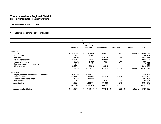Notes to Consolidated Financial Statements

Year ended December 31, 2019

| 2019                                      |     |               |          |                              |            |                          |          |            |                  |                |    |            |
|-------------------------------------------|-----|---------------|----------|------------------------------|------------|--------------------------|----------|------------|------------------|----------------|----|------------|
|                                           |     |               |          | Recreational<br>and cultural |            |                          |          |            |                  |                |    |            |
|                                           |     | Subtotal      | services |                              | Waterworks |                          | Sewerage |            | <b>Utilities</b> |                |    | 2019       |
| Revenue                                   |     |               |          |                              |            |                          |          |            |                  |                |    |            |
| Taxation                                  | \$  | 15,158,850 \$ |          | 7,909,894 \$                 |            | 385,432                  | - \$     | 134,777 \$ |                  | (919)          | \$ | 23,588,034 |
| Grants in lieu                            |     | 62,447        |          | 97,951                       |            |                          |          |            |                  |                |    | 160,398    |
| User charges                              |     | 3,542,606     |          |                              |            | 840,795                  |          | 127,765    |                  |                |    | 4,511,166  |
| Government transfer                       |     | 2,131,158     |          | 529,324                      |            | 289,856                  |          | 71,286     |                  |                |    | 3,021,624  |
| Investment income                         |     | 833,627       |          | 41,320                       |            | 9,394                    |          | 4,211      |                  |                |    | 888,552    |
| Gain/loss on disposal of Assets           |     | (7, 795)      |          | 1,484                        |            |                          |          |            |                  |                |    | (6, 311)   |
| Other revenue                             |     | 3,607,694     |          | 124,548                      |            | 86,942                   |          |            |                  |                |    | 3,819,184  |
|                                           |     | 25,328,587    |          | 8,704,521                    |            | 1,612,419                |          | 338,039    |                  | (919)          |    | 35,982,647 |
| <b>Expenses</b>                           |     |               |          |                              |            |                          |          |            |                  |                |    |            |
| Wages, salaries, indemnities and benefits |     | 6,592,596     |          | 4,522,712                    |            | $\overline{\phantom{a}}$ |          |            |                  |                |    | 11,115,308 |
| Operating costs                           |     | 11,386,475    |          | 2,229,951                    |            | 386,028                  |          | 109,438    |                  | -              |    | 14,111,892 |
| External transfers to others              |     | 722,566       |          | 832,221                      |            |                          |          |            |                  |                |    | 1,554,787  |
| Debt services                             |     | 1,373         |          |                              |            | 72,754                   |          | 8,754      |                  |                |    | 82,881     |
| Amortization                              |     | 1,668,563     |          | 1,232,794                    |            | 374,395                  |          | 118,918    |                  |                |    | 3,394,670  |
|                                           |     | 20,371,573    |          | 8,817,678                    |            | 833,177                  |          | 237,110    |                  | $\blacksquare$ |    | 30,259,538 |
| Annual surplus (deficit)                  | \$. | 4,957,014     | - \$     | (113,157) \$                 |            | 779,242                  | - \$     | 100,929    | - \$             | (919)          | \$ | 5,723,109  |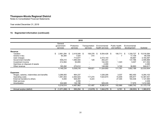Notes to Consolidated Financial Statements

Year ended December 31, 2019

| 2018                                      |                                   |                        |      |                            |      |                                  |    |                              |                              |           |      |              |
|-------------------------------------------|-----------------------------------|------------------------|------|----------------------------|------|----------------------------------|----|------------------------------|------------------------------|-----------|------|--------------|
|                                           | General<br>government<br>services | Protective<br>services |      | Transportation<br>services |      | Environmental<br>health services |    | Public health<br>and welfare | Environmental<br>development |           |      | Subtotal     |
| Revenue                                   |                                   |                        |      |                            |      |                                  |    |                              |                              |           |      |              |
| Taxation                                  | 2,991,294                         | 2,416,048<br>S.        | - \$ | 108,378                    | - \$ | 8,554,426                        | \$ | 106,711                      | - \$                         | .339,727  |      | 15,516,584   |
| Grants in lieu                            | 50,384                            | 1,524                  |      | 314                        |      |                                  |    |                              |                              | 17,109    |      | 69,338       |
| User charges                              |                                   | 713,677                |      |                            |      | 2,414,143                        |    |                              |                              | 65,667    |      | 3,193,487    |
| Government transfer                       | 509,210                           | 1,585,500              |      | 129                        |      | 263,241                          |    |                              |                              | 137,786   |      | 2,495,866    |
| Investment income                         | 412,064                           | 50,855                 |      |                            |      | 142,303                          |    | 1,323                        |                              | 5,007     |      | 611,552      |
| Gain/loss on disposal of assets           |                                   |                        |      |                            |      | 2,490                            |    |                              |                              |           |      | 2,490        |
| Other revenue                             | 185,282                           | 270,612                |      |                            |      | 148,090                          |    | 3,740                        |                              | 36,893    |      | 644,617      |
|                                           | 4,148,234                         | 5,038,216              |      | 108,821                    |      | 11,524,693                       |    | 111,781                      |                              | 1,602,189 |      | 22,533,934   |
| <b>Expenses</b>                           |                                   |                        |      |                            |      |                                  |    |                              |                              |           |      |              |
| Wages, salaries, indemnities and benefits | 3,288,083                         | 964,237                |      |                            |      | 1,026,295                        |    | 3,037                        |                              | 982,450   |      | 6,264,102    |
| Operating costs                           | 1,591,503                         | 2,464,824              |      | 117,274                    |      | 7,624,874                        |    | 72,649                       |                              | 495,877   |      | 12,367,001   |
| External transfers to others              | 5,000                             | 926,497                |      | 4,223                      |      |                                  |    | 27,304                       |                              | 164,436   |      | 1,127,460    |
| Debt services                             |                                   | 2,208                  |      |                            |      |                                  |    |                              |                              |           |      | 2,208        |
| Amortization                              | 334,928                           | 130,196                |      |                            |      | 929,245                          |    |                              |                              | 17,979    |      | 1,412,348    |
|                                           | 5,219,514                         | 4,487,962              |      | 121,497                    |      | 9,580,414                        |    | 102,990                      |                              | 1,660,742 |      | 21, 173, 119 |
| Annual surplus (deficit)                  | (1,071,280)<br>\$.                | 550,254<br>\$          | -\$  | (12,676) \$                |      | 1,944,279                        | \$ | 8,791                        | \$                           | (58, 553) | - SS | 1,360,815    |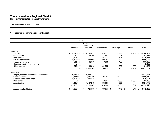Notes to Consolidated Financial Statements

Year ended December 31, 2019

| 2018                                      |    |               |          |                              |            |                          |          |            |                  |       |   |              |
|-------------------------------------------|----|---------------|----------|------------------------------|------------|--------------------------|----------|------------|------------------|-------|---|--------------|
|                                           |    |               |          | Recreational<br>and cultural |            |                          |          |            |                  |       |   |              |
|                                           |    | Subtotal      | services |                              | Waterworks |                          | Sewerage |            | <b>Utilities</b> |       |   | 2018         |
| Revenue                                   |    |               |          |                              |            |                          |          |            |                  |       |   |              |
| Taxation                                  | \$ | 15,516,584 \$ |          | 8,140,931 \$                 |            | 328,371                  | -\$      | 154,333 \$ |                  | 6,248 | S | 24, 146, 467 |
| Grants in lieu                            |    | 69,338        |          | 96,755                       |            | 1,483                    |          | 8          |                  |       |   | 167,584      |
| User charges                              |    | 3,193,487     |          |                              |            | 821,371                  |          | 124,625    |                  |       |   | 4,139,483    |
| Government transfer                       |    | 2,495,866     |          | 438,061                      |            | 323,754                  |          | 398,572    |                  |       |   | 3,656,253    |
| Investment income                         |    | 611,552       |          | 32,570                       |            | 9,905                    |          | 4,103      |                  |       |   | 658,130      |
| Gain/loss on disposal of assets           |    | 2,490         |          |                              |            |                          |          |            |                  |       |   | 2,490        |
| Other revenue                             |    | 644,617       |          | 130,246                      |            | 304,555                  |          | 41,090     |                  | 656   |   | 1,121,164    |
|                                           |    | 22,533,934    |          | 8,838,563                    |            | 1,789,439                |          | 722,731    |                  | 6,904 |   | 33,891,571   |
| <b>Expenses</b>                           |    |               |          |                              |            |                          |          |            |                  |       |   |              |
| Wages, salaries, indemnities and benefits |    | 6,264,102     |          | 4,553,123                    |            | $\overline{\phantom{a}}$ |          |            |                  |       |   | 10,817,225   |
| Operating costs                           |    | 12,367,001    |          | 1,687,280                    |            | 405,741                  |          | 540,097    |                  |       |   | 15,000,119   |
| External transfers to others              |    | 1,127,460     |          | 749,371                      |            |                          |          |            |                  |       |   | 1,876,831    |
| Debt services                             |    | 2,208         |          |                              |            | 48,964                   |          | 9,939      |                  | 2,057 |   | 63,168       |
| Amortization                              |    | 1,412,348     |          | 1,127,213                    |            | 365,657                  |          | 116,555    |                  |       |   | 3,021,773    |
|                                           |    | 21,173,119    |          | 8,116,987                    |            | 820,362                  |          | 666,591    |                  | 2,057 |   | 30,779,116   |
| Annual surplus (deficit)                  | \$ | 1,360,815     | - \$     | 721,576                      | -SS        | 969,077                  | \$       | 56,140     | - \$             | 4,847 |   | 3,112,455    |